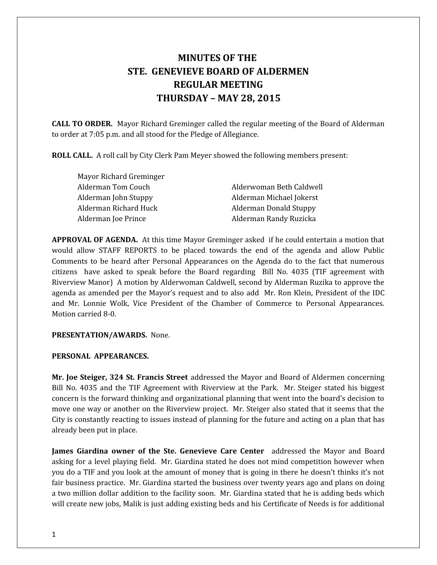# **MINUTES OF THE STE. GENEVIEVE BOARD OF ALDERMEN REGULAR MEETING THURSDAY – MAY 28, 2015**

**CALL TO ORDER.** Mayor Richard Greminger called the regular meeting of the Board of Alderman to order at 7:05 p.m. and all stood for the Pledge of Allegiance.

**ROLL CALL.** A roll call by City Clerk Pam Meyer showed the following members present:

| Mayor Richard Greminger |                               |
|-------------------------|-------------------------------|
| Alderman Tom Couch      | Alderwoman Beth Caldwell      |
| Alderman John Stuppy    | Alderman Michael Jokerst      |
| Alderman Richard Huck   | <b>Alderman Donald Stuppy</b> |
| Alderman Joe Prince     | Alderman Randy Ruzicka        |

**APPROVAL OF AGENDA.** At this time Mayor Greminger asked if he could entertain a motion that would allow STAFF REPORTS to be placed towards the end of the agenda and allow Public Comments to be heard after Personal Appearances on the Agenda do to the fact that numerous citizens have asked to speak before the Board regarding Bill No. 4035 (TIF agreement with Riverview Manor) A motion by Alderwoman Caldwell, second by Alderman Ruzika to approve the agenda as amended per the Mayor's request and to also add Mr. Ron Klein, President of the IDC and Mr. Lonnie Wolk, Vice President of the Chamber of Commerce to Personal Appearances. Motion carried 8-0.

**PRESENTATION/AWARDS.** None.

# **PERSONAL APPEARANCES.**

**Mr. Joe Steiger, 324 St. Francis Street** addressed the Mayor and Board of Aldermen concerning Bill No. 4035 and the TIF Agreement with Riverview at the Park. Mr. Steiger stated his biggest concern is the forward thinking and organizational planning that went into the board's decision to move one way or another on the Riverview project. Mr. Steiger also stated that it seems that the City is constantly reacting to issues instead of planning for the future and acting on a plan that has already been put in place.

**James Giardina owner of the Ste. Genevieve Care Center** addressed the Mayor and Board asking for a level playing field. Mr. Giardina stated he does not mind competition however when you do a TIF and you look at the amount of money that is going in there he doesn't thinks it's not fair business practice. Mr. Giardina started the business over twenty years ago and plans on doing a two million dollar addition to the facility soon. Mr. Giardina stated that he is adding beds which will create new jobs, Malik is just adding existing beds and his Certificate of Needs is for additional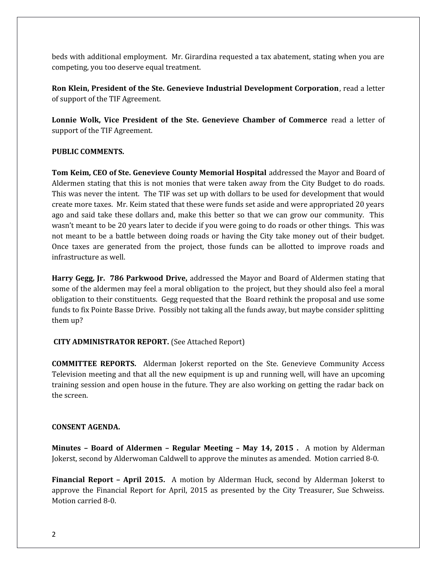beds with additional employment. Mr. Girardina requested a tax abatement, stating when you are competing, you too deserve equal treatment.

**Ron Klein, President of the Ste. Genevieve Industrial Development Corporation**, read a letter of support of the TIF Agreement.

**Lonnie Wolk, Vice President of the Ste. Genevieve Chamber of Commerce** read a letter of support of the TIF Agreement.

# **PUBLIC COMMENTS.**

**Tom Keim, CEO of Ste. Genevieve County Memorial Hospital** addressed the Mayor and Board of Aldermen stating that this is not monies that were taken away from the City Budget to do roads. This was never the intent. The TIF was set up with dollars to be used for development that would create more taxes. Mr. Keim stated that these were funds set aside and were appropriated 20 years ago and said take these dollars and, make this better so that we can grow our community. This wasn't meant to be 20 years later to decide if you were going to do roads or other things. This was not meant to be a battle between doing roads or having the City take money out of their budget. Once taxes are generated from the project, those funds can be allotted to improve roads and infrastructure as well.

**Harry Gegg, Jr. 786 Parkwood Drive,** addressed the Mayor and Board of Aldermen stating that some of the aldermen may feel a moral obligation to the project, but they should also feel a moral obligation to their constituents. Gegg requested that the Board rethink the proposal and use some funds to fix Pointe Basse Drive. Possibly not taking all the funds away, but maybe consider splitting them up?

# **CITY ADMINISTRATOR REPORT.** (See Attached Report)

**COMMITTEE REPORTS.** Alderman Jokerst reported on the Ste. Genevieve Community Access Television meeting and that all the new equipment is up and running well, will have an upcoming training session and open house in the future. They are also working on getting the radar back on the screen.

## **CONSENT AGENDA.**

**Minutes – Board of Aldermen – Regular Meeting – May 14, 2015 .** A motion by Alderman Jokerst, second by Alderwoman Caldwell to approve the minutes as amended. Motion carried 8-0.

**Financial Report – April 2015.** A motion by Alderman Huck, second by Alderman Jokerst to approve the Financial Report for April, 2015 as presented by the City Treasurer, Sue Schweiss. Motion carried 8-0.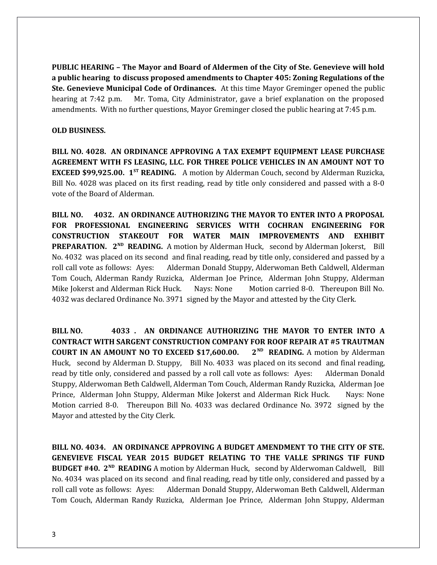**PUBLIC HEARING – The Mayor and Board of Aldermen of the City of Ste. Genevieve will hold a public hearing to discuss proposed amendments to Chapter 405: Zoning Regulations of the Ste. Genevieve Municipal Code of Ordinances.** At this time Mayor Greminger opened the public hearing at 7:42 p.m. Mr. Toma, City Administrator, gave a brief explanation on the proposed amendments. With no further questions, Mayor Greminger closed the public hearing at 7:45 p.m.

#### **OLD BUSINESS.**

**BILL NO. 4028. AN ORDINANCE APPROVING A TAX EXEMPT EQUIPMENT LEASE PURCHASE AGREEMENT WITH FS LEASING, LLC. FOR THREE POLICE VEHICLES IN AN AMOUNT NOT TO EXCEED \$99,925.00. 1ST READING.** A motion by Alderman Couch, second by Alderman Ruzicka, Bill No. 4028 was placed on its first reading, read by title only considered and passed with a 8-0 vote of the Board of Alderman.

**BILL NO. 4032. AN ORDINANCE AUTHORIZING THE MAYOR TO ENTER INTO A PROPOSAL FOR PROFESSIONAL ENGINEERING SERVICES WITH COCHRAN ENGINEERING FOR CONSTRUCTION STAKEOUT FOR WATER MAIN IMPROVEMENTS AND EXHIBIT PREPARATION. 2<sup>ND</sup> READING.** A motion by Alderman Huck, second by Alderman Jokerst, Bill No. 4032 was placed on its second and final reading, read by title only, considered and passed by a roll call vote as follows: Ayes: Alderman Donald Stuppy, Alderwoman Beth Caldwell, Alderman Tom Couch, Alderman Randy Ruzicka, Alderman Joe Prince, Alderman John Stuppy, Alderman Mike Jokerst and Alderman Rick Huck. Nays: None Motion carried 8-0. Thereupon Bill No. 4032 was declared Ordinance No. 3971 signed by the Mayor and attested by the City Clerk.

**BILL NO. 4033 . AN ORDINANCE AUTHORIZING THE MAYOR TO ENTER INTO A CONTRACT WITH SARGENT CONSTRUCTION COMPANY FOR ROOF REPAIR AT #5 TRAUTMAN COURT IN AN AMOUNT NO TO EXCEED \$17,600.00. 2ND READING.** A motion by Alderman Huck, second by Alderman D. Stuppy, Bill No. 4033 was placed on its second and final reading, read by title only, considered and passed by a roll call vote as follows: Ayes: Alderman Donald Stuppy, Alderwoman Beth Caldwell, Alderman Tom Couch, Alderman Randy Ruzicka, Alderman Joe Prince, Alderman John Stuppy, Alderman Mike Jokerst and Alderman Rick Huck. Nays: None Motion carried 8-0. Thereupon Bill No. 4033 was declared Ordinance No. 3972 signed by the Mayor and attested by the City Clerk.

**BILL NO. 4034. AN ORDINANCE APPROVING A BUDGET AMENDMENT TO THE CITY OF STE. GENEVIEVE FISCAL YEAR 2015 BUDGET RELATING TO THE VALLE SPRINGS TIF FUND BUDGET #40. 2ND READING** A motion by Alderman Huck, second by Alderwoman Caldwell, Bill No. 4034 was placed on its second and final reading, read by title only, considered and passed by a roll call vote as follows: Ayes: Alderman Donald Stuppy, Alderwoman Beth Caldwell, Alderman Tom Couch, Alderman Randy Ruzicka, Alderman Joe Prince, Alderman John Stuppy, Alderman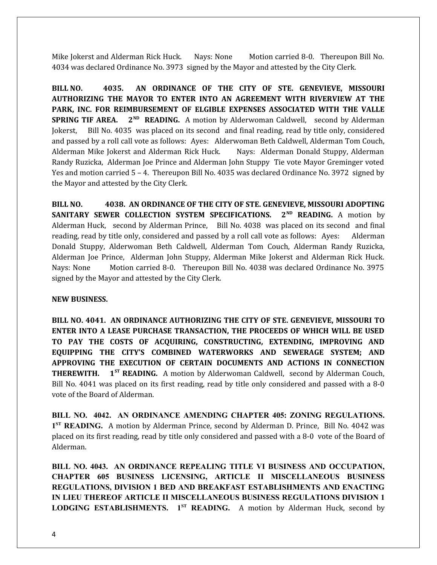Mike Jokerst and Alderman Rick Huck. Nays: None Motion carried 8-0. Thereupon Bill No. 4034 was declared Ordinance No. 3973 signed by the Mayor and attested by the City Clerk.

**BILL NO. 4035. AN ORDINANCE OF THE CITY OF STE. GENEVIEVE, MISSOURI AUTHORIZING THE MAYOR TO ENTER INTO AN AGREEMENT WITH RIVERVIEW AT THE PARK, INC. FOR REIMBURSEMENT OF ELGIBLE EXPENSES ASSOCIATED WITH THE VALLE SPRING TIF AREA. 2<sup>ND</sup> READING.** A motion by Alderwoman Caldwell, second by Alderman Jokerst, Bill No. 4035 was placed on its second and final reading, read by title only, considered and passed by a roll call vote as follows: Ayes: Alderwoman Beth Caldwell, Alderman Tom Couch, Alderman Mike Jokerst and Alderman Rick Huck. Nays: Alderman Donald Stuppy, Alderman Randy Ruzicka, Alderman Joe Prince and Alderman John Stuppy Tie vote Mayor Greminger voted Yes and motion carried 5 – 4. Thereupon Bill No. 4035 was declared Ordinance No. 3972 signed by the Mayor and attested by the City Clerk.

**BILL NO. 4038. AN ORDINANCE OF THE CITY OF STE. GENEVIEVE, MISSOURI ADOPTING SANITARY SEWER COLLECTION SYSTEM SPECIFICATIONS. 2<sup>ND</sup> READING.** A motion by Alderman Huck, second by Alderman Prince, Bill No. 4038 was placed on its second and final reading, read by title only, considered and passed by a roll call vote as follows: Ayes: Alderman Donald Stuppy, Alderwoman Beth Caldwell, Alderman Tom Couch, Alderman Randy Ruzicka, Alderman Joe Prince, Alderman John Stuppy, Alderman Mike Jokerst and Alderman Rick Huck. Nays: None Motion carried 8-0. Thereupon Bill No. 4038 was declared Ordinance No. 3975 signed by the Mayor and attested by the City Clerk.

#### **NEW BUSINESS.**

**BILL NO. 4041. AN ORDINANCE AUTHORIZING THE CITY OF STE. GENEVIEVE, MISSOURI TO ENTER INTO A LEASE PURCHASE TRANSACTION, THE PROCEEDS OF WHICH WILL BE USED TO PAY THE COSTS OF ACQUIRING, CONSTRUCTING, EXTENDING, IMPROVING AND EQUIPPING THE CITY'S COMBINED WATERWORKS AND SEWERAGE SYSTEM; AND APPROVING THE EXECUTION OF CERTAIN DOCUMENTS AND ACTIONS IN CONNECTION THEREWITH. 1ST READING.** A motion by Alderwoman Caldwell, second by Alderman Couch, Bill No. 4041 was placed on its first reading, read by title only considered and passed with a 8-0 vote of the Board of Alderman.

**BILL NO. 4042. AN ORDINANCE AMENDING CHAPTER 405: ZONING REGULATIONS. 1 ST READING.** A motion by Alderman Prince, second by Alderman D. Prince, Bill No. 4042 was placed on its first reading, read by title only considered and passed with a 8-0 vote of the Board of Alderman.

**BILL NO. 4043. AN ORDINANCE REPEALING TITLE VI BUSINESS AND OCCUPATION, CHAPTER 605 BUSINESS LICENSING, ARTICLE II MISCELLANEOUS BUSINESS REGULATIONS, DIVISION 1 BED AND BREAKFAST ESTABLISHMENTS AND ENACTING IN LIEU THEREOF ARTICLE II MISCELLANEOUS BUSINESS REGULATIONS DIVISION 1 LODGING ESTABLISHMENTS. 1ST READING.** A motion by Alderman Huck, second by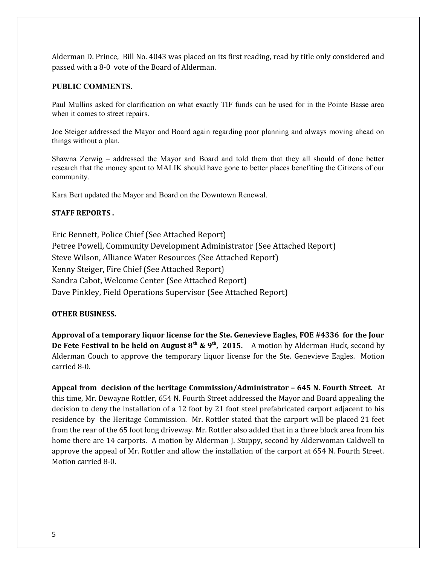Alderman D. Prince, Bill No. 4043 was placed on its first reading, read by title only considered and passed with a 8-0 vote of the Board of Alderman.

# **PUBLIC COMMENTS.**

Paul Mullins asked for clarification on what exactly TIF funds can be used for in the Pointe Basse area when it comes to street repairs.

Joe Steiger addressed the Mayor and Board again regarding poor planning and always moving ahead on things without a plan.

Shawna Zerwig – addressed the Mayor and Board and told them that they all should of done better research that the money spent to MALIK should have gone to better places benefiting the Citizens of our community.

Kara Bert updated the Mayor and Board on the Downtown Renewal.

# **STAFF REPORTS .**

Eric Bennett, Police Chief (See Attached Report) Petree Powell, Community Development Administrator (See Attached Report) Steve Wilson, Alliance Water Resources (See Attached Report) Kenny Steiger, Fire Chief (See Attached Report) Sandra Cabot, Welcome Center (See Attached Report) Dave Pinkley, Field Operations Supervisor (See Attached Report)

## **OTHER BUSINESS.**

**Approval of a temporary liquor license for the Ste. Genevieve Eagles, FOE #4336 for the Jour De Fete Festival to be held on August 8th & 9th, 2015.** A motion by Alderman Huck, second by Alderman Couch to approve the temporary liquor license for the Ste. Genevieve Eagles. Motion carried 8-0.

**Appeal from decision of the heritage Commission/Administrator – 645 N. Fourth Street.** At this time, Mr. Dewayne Rottler, 654 N. Fourth Street addressed the Mayor and Board appealing the decision to deny the installation of a 12 foot by 21 foot steel prefabricated carport adjacent to his residence by the Heritage Commission. Mr. Rottler stated that the carport will be placed 21 feet from the rear of the 65 foot long driveway. Mr. Rottler also added that in a three block area from his home there are 14 carports. A motion by Alderman J. Stuppy, second by Alderwoman Caldwell to approve the appeal of Mr. Rottler and allow the installation of the carport at 654 N. Fourth Street. Motion carried 8-0.